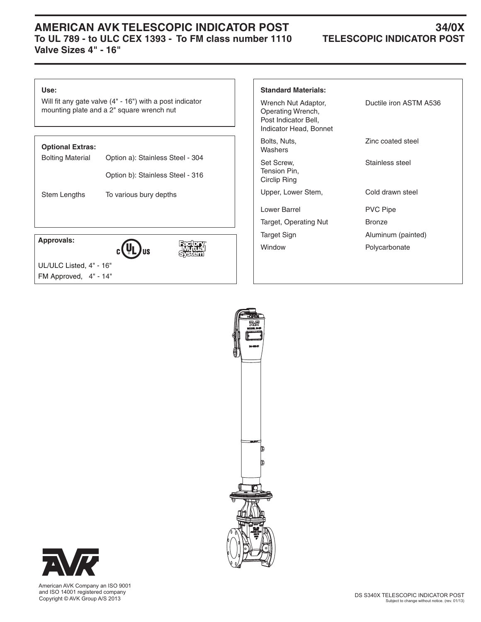## **AMERICAN AVK TELESCOPIC INDICATOR POST 34/0X<br>To UL 789 - to ULC CEX 1393 - To FM class number 1110 TELESCOPIC INDICATOR POST** To UL 789 - to ULC CEX 1393 - To FM class number 1110 **Valve Sizes 4" - 16"**

#### **Use:**

Will fit any gate valve (4" - 16") with a post indicator mounting plate and a 2" square wrench nut

### **Optional Extras:**

| <b>Bolting Material</b> | Option a): Stainless Steel - 304 |  |  |  |
|-------------------------|----------------------------------|--|--|--|
|                         | Option b): Stainless Steel - 316 |  |  |  |
| Stem Lengths            | To various bury depths           |  |  |  |
|                         |                                  |  |  |  |

 **Approvals:**





 UL/ULC Listed, 4" - 16" FM Approved, 4" - 14"

| <b>Standard Materials:</b>                                                                 |                        |
|--------------------------------------------------------------------------------------------|------------------------|
| Wrench Nut Adaptor,<br>Operating Wrench,<br>Post Indicator Bell,<br>Indicator Head, Bonnet | Ductile iron ASTM A536 |
| Bolts, Nuts,<br>Washers                                                                    | Zinc coated steel      |
| Set Screw.<br>Tension Pin,<br>Circlip Ring                                                 | Stainless steel        |
| Upper, Lower Stem,                                                                         | Cold drawn steel       |
| Lower Barrel                                                                               | <b>PVC Pipe</b>        |
| Target, Operating Nut                                                                      | <b>Bronze</b>          |
| Target Sign                                                                                | Aluminum (painted)     |
| Window                                                                                     | Polycarbonate          |
|                                                                                            |                        |





 American AVK Company an ISO 9001 and ISO 14001 registered company Copyright © AVK Group A/S 2013